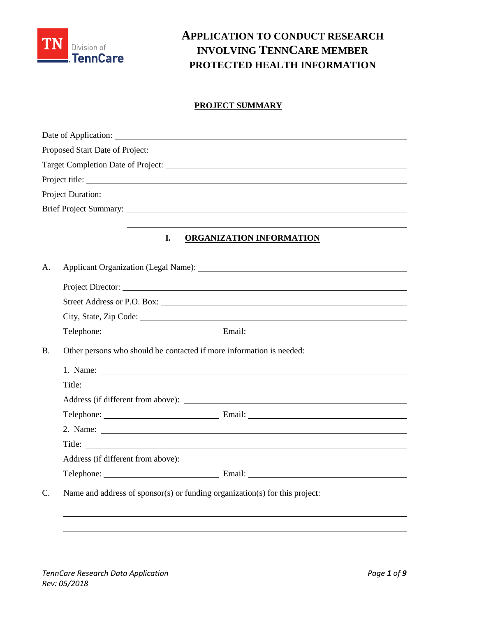

# **APPLICATION TO CONDUCT RESEARCH INVOLVING TENNCARE MEMBER PROTECTED HEALTH INFORMATION**

# **PROJECT SUMMARY**

|                | Project title:                                                              |
|----------------|-----------------------------------------------------------------------------|
|                |                                                                             |
|                |                                                                             |
|                |                                                                             |
|                | I.<br><b>ORGANIZATION INFORMATION</b>                                       |
| A.             |                                                                             |
|                |                                                                             |
|                |                                                                             |
|                |                                                                             |
|                |                                                                             |
| <b>B.</b>      | Other persons who should be contacted if more information is needed:        |
|                |                                                                             |
|                | Title:                                                                      |
|                |                                                                             |
|                |                                                                             |
|                |                                                                             |
|                |                                                                             |
|                |                                                                             |
|                |                                                                             |
| $\mathsf{C}$ . | Name and address of sponsor(s) or funding organization(s) for this project: |
|                |                                                                             |
|                |                                                                             |
|                |                                                                             |
|                |                                                                             |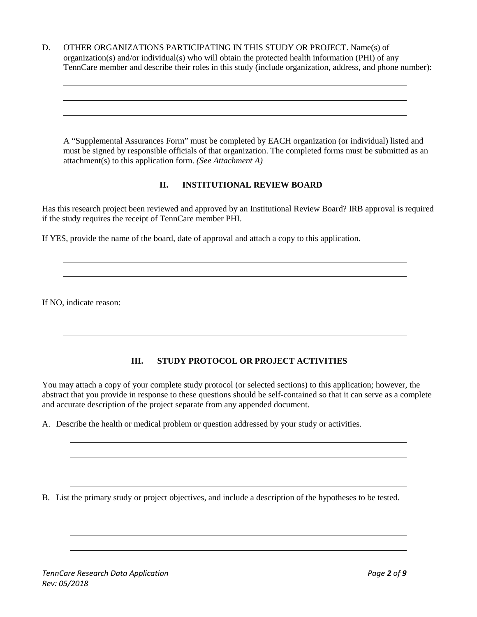D. OTHER ORGANIZATIONS PARTICIPATING IN THIS STUDY OR PROJECT. Name(s) of organization(s) and/or individual(s) who will obtain the protected health information (PHI) of any TennCare member and describe their roles in this study (include organization, address, and phone number):

A "Supplemental Assurances Form" must be completed by EACH organization (or individual) listed and must be signed by responsible officials of that organization. The completed forms must be submitted as an attachment(s) to this application form. *(See Attachment A)*

## **II. INSTITUTIONAL REVIEW BOARD**

Has this research project been reviewed and approved by an Institutional Review Board? IRB approval is required if the study requires the receipt of TennCare member PHI.

If YES, provide the name of the board, date of approval and attach a copy to this application.

If NO, indicate reason:

## **III. STUDY PROTOCOL OR PROJECT ACTIVITIES**

You may attach a copy of your complete study protocol (or selected sections) to this application; however, the abstract that you provide in response to these questions should be self-contained so that it can serve as a complete and accurate description of the project separate from any appended document.

A. Describe the health or medical problem or question addressed by your study or activities.

B. List the primary study or project objectives, and include a description of the hypotheses to be tested.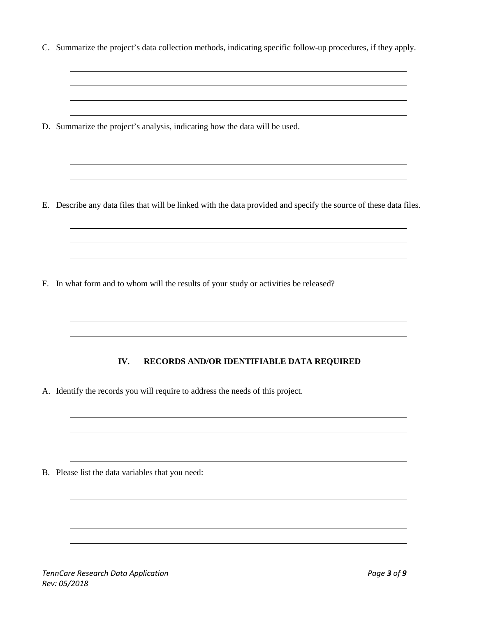C. Summarize the project's data collection methods, indicating specific follow-up procedures, if they apply.

D. Summarize the project's analysis, indicating how the data will be used.

E. Describe any data files that will be linked with the data provided and specify the source of these data files.

F. In what form and to whom will the results of your study or activities be released?

## **IV. RECORDS AND/OR IDENTIFIABLE DATA REQUIRED**

A. Identify the records you will require to address the needs of this project.

B. Please list the data variables that you need: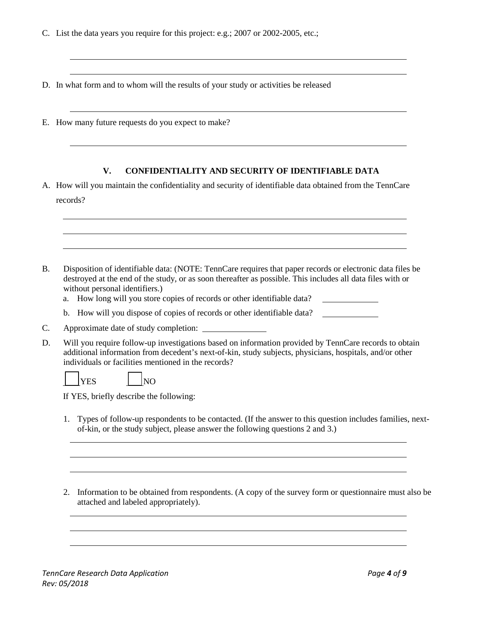- C. List the data years you require for this project: e.g.; 2007 or 2002-2005, etc.;
- D. In what form and to whom will the results of your study or activities be released
- E. How many future requests do you expect to make?

#### **V. CONFIDENTIALITY AND SECURITY OF IDENTIFIABLE DATA**

- A. How will you maintain the confidentiality and security of identifiable data obtained from the TennCare records?
- B. Disposition of identifiable data: (NOTE: TennCare requires that paper records or electronic data files be destroyed at the end of the study, or as soon thereafter as possible. This includes all data files with or without personal identifiers.)
	- a. How long will you store copies of records or other identifiable data?  $\overline{\phantom{a}}$  . The contract of  $\overline{\phantom{a}}$
	- b. How will you dispose of copies of records or other identifiable data?
- C. Approximate date of study completion:
- D. Will you require follow-up investigations based on information provided by TennCare records to obtain additional information from decedent's next-of-kin, study subjects, physicians, hospitals, and/or other individuals or facilities mentioned in the records?

YES  $\vert$  NO

If YES, briefly describe the following:

- 1. Types of follow-up respondents to be contacted. (If the answer to this question includes families, nextof-kin, or the study subject, please answer the following questions 2 and 3.)
- 2. Information to be obtained from respondents. (A copy of the survey form or questionnaire must also be attached and labeled appropriately).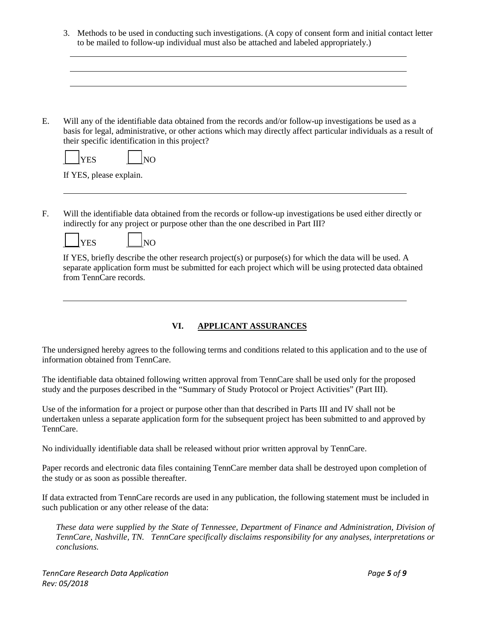3. Methods to be used in conducting such investigations. (A copy of consent form and initial contact letter to be mailed to follow-up individual must also be attached and labeled appropriately.)

E. Will any of the identifiable data obtained from the records and/or follow-up investigations be used as a basis for legal, administrative, or other actions which may directly affect particular individuals as a result of their specific identification in this project?

If YES, please explain.

F. Will the identifiable data obtained from the records or follow-up investigations be used either directly or indirectly for any project or purpose other than the one described in Part III?



If YES, briefly describe the other research project(s) or purpose(s) for which the data will be used. A separate application form must be submitted for each project which will be using protected data obtained from TennCare records.

## **VI. APPLICANT ASSURANCES**

The undersigned hereby agrees to the following terms and conditions related to this application and to the use of information obtained from TennCare.

The identifiable data obtained following written approval from TennCare shall be used only for the proposed study and the purposes described in the "Summary of Study Protocol or Project Activities" (Part III).

Use of the information for a project or purpose other than that described in Parts III and IV shall not be undertaken unless a separate application form for the subsequent project has been submitted to and approved by TennCare.

No individually identifiable data shall be released without prior written approval by TennCare.

Paper records and electronic data files containing TennCare member data shall be destroyed upon completion of the study or as soon as possible thereafter.

If data extracted from TennCare records are used in any publication, the following statement must be included in such publication or any other release of the data:

*These data were supplied by the State of Tennessee, Department of Finance and Administration, Division of TennCare, Nashville, TN. TennCare specifically disclaims responsibility for any analyses, interpretations or conclusions.*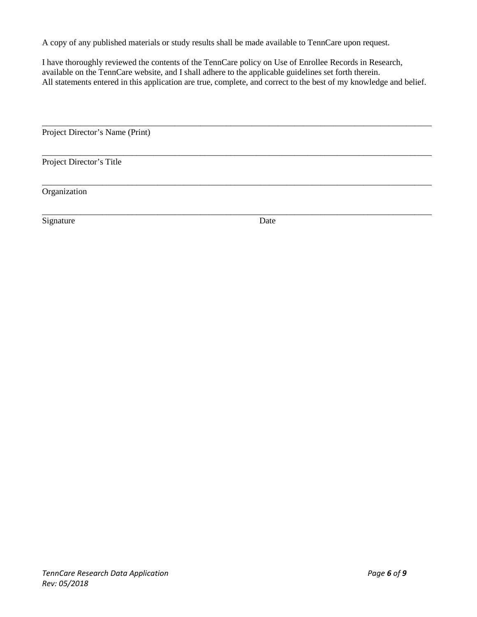A copy of any published materials or study results shall be made available to TennCare upon request.

I have thoroughly reviewed the contents of the TennCare policy on Use of Enrollee Records in Research, available on the TennCare website, and I shall adhere to the applicable guidelines set forth therein. All statements entered in this application are true, complete, and correct to the best of my knowledge and belief.

\_\_\_\_\_\_\_\_\_\_\_\_\_\_\_\_\_\_\_\_\_\_\_\_\_\_\_\_\_\_\_\_\_\_\_\_\_\_\_\_\_\_\_\_\_\_\_\_\_\_\_\_\_\_\_\_\_\_\_\_\_\_\_\_\_\_\_\_\_\_\_\_\_\_\_\_\_\_\_\_\_\_\_\_\_\_\_\_\_\_\_

\_\_\_\_\_\_\_\_\_\_\_\_\_\_\_\_\_\_\_\_\_\_\_\_\_\_\_\_\_\_\_\_\_\_\_\_\_\_\_\_\_\_\_\_\_\_\_\_\_\_\_\_\_\_\_\_\_\_\_\_\_\_\_\_\_\_\_\_\_\_\_\_\_\_\_\_\_\_\_\_\_\_\_\_\_\_\_\_\_\_\_

\_\_\_\_\_\_\_\_\_\_\_\_\_\_\_\_\_\_\_\_\_\_\_\_\_\_\_\_\_\_\_\_\_\_\_\_\_\_\_\_\_\_\_\_\_\_\_\_\_\_\_\_\_\_\_\_\_\_\_\_\_\_\_\_\_\_\_\_\_\_\_\_\_\_\_\_\_\_\_\_\_\_\_\_\_\_\_\_\_\_\_

\_\_\_\_\_\_\_\_\_\_\_\_\_\_\_\_\_\_\_\_\_\_\_\_\_\_\_\_\_\_\_\_\_\_\_\_\_\_\_\_\_\_\_\_\_\_\_\_\_\_\_\_\_\_\_\_\_\_\_\_\_\_\_\_\_\_\_\_\_\_\_\_\_\_\_\_\_\_\_\_\_\_\_\_\_\_\_\_\_\_\_

Project Director's Name (Print)

Project Director's Title

Organization

Signature Date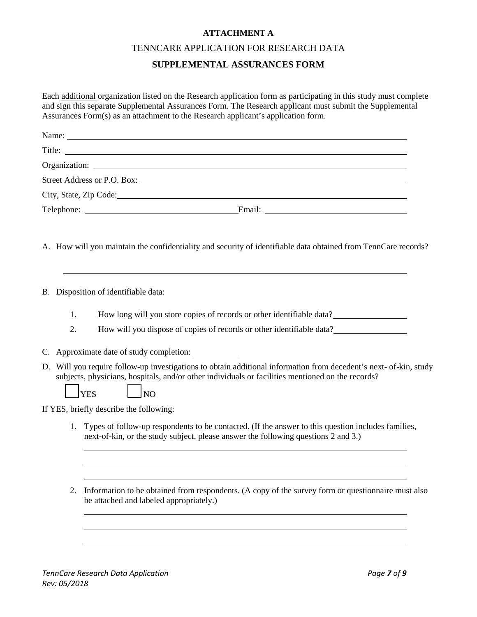## **ATTACHMENT A**

#### TENNCARE APPLICATION FOR RESEARCH DATA

# **SUPPLEMENTAL ASSURANCES FORM**

Each additional organization listed on the Research application form as participating in this study must complete and sign this separate Supplemental Assurances Form. The Research applicant must submit the Supplemental Assurances Form(s) as an attachment to the Research applicant's application form.

|            | Name:                                                                                                                                                                                                                               |
|------------|-------------------------------------------------------------------------------------------------------------------------------------------------------------------------------------------------------------------------------------|
|            | Title:                                                                                                                                                                                                                              |
|            |                                                                                                                                                                                                                                     |
|            |                                                                                                                                                                                                                                     |
|            | City, State, Zip Code:                                                                                                                                                                                                              |
|            |                                                                                                                                                                                                                                     |
|            | A. How will you maintain the confidentiality and security of identifiable data obtained from TennCare records?                                                                                                                      |
|            | B. Disposition of identifiable data:                                                                                                                                                                                                |
| 1.         | How long will you store copies of records or other identifiable data?                                                                                                                                                               |
| 2.         | How will you dispose of copies of records or other identifiable data?                                                                                                                                                               |
| C.         | Approximate date of study completion:                                                                                                                                                                                               |
| <b>YES</b> | D. Will you require follow-up investigations to obtain additional information from decedent's next- of-kin, study<br>subjects, physicians, hospitals, and/or other individuals or facilities mentioned on the records?<br><b>NO</b> |
|            | If YES, briefly describe the following:                                                                                                                                                                                             |
| 1.         | Types of follow-up respondents to be contacted. (If the answer to this question includes families,<br>next-of-kin, or the study subject, please answer the following questions 2 and 3.)                                            |
|            |                                                                                                                                                                                                                                     |

2. Information to be obtained from respondents. (A copy of the survey form or questionnaire must also be attached and labeled appropriately.)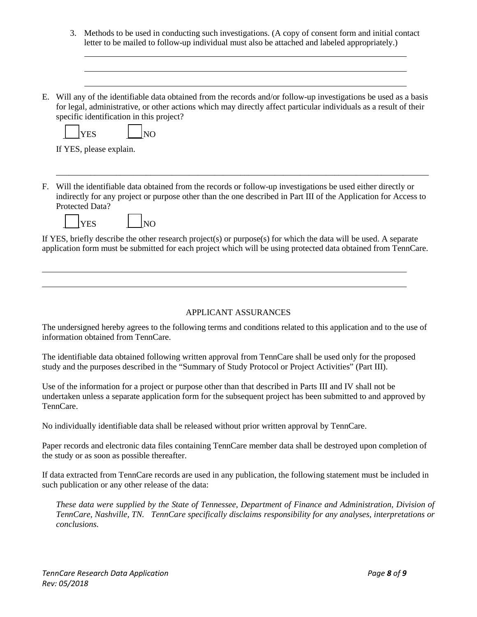|    | 3. | Methods to be used in conducting such investigations. (A copy of consent form and initial contact<br>letter to be mailed to follow-up individual must also be attached and labeled appropriately.)                                                                                                                                         |
|----|----|--------------------------------------------------------------------------------------------------------------------------------------------------------------------------------------------------------------------------------------------------------------------------------------------------------------------------------------------|
|    |    |                                                                                                                                                                                                                                                                                                                                            |
| E. |    | Will any of the identifiable data obtained from the records and/or follow-up investigations be used as a basis<br>for legal, administrative, or other actions which may directly affect particular individuals as a result of their<br>specific identification in this project?<br>N <sub>O</sub><br><b>YES</b><br>If YES, please explain. |
| F. |    | Will the identifiable data obtained from the records or follow-up investigations be used either directly or<br>indirectly for any project or purpose other than the one described in Part III of the Application for Access to<br>Protected Data?<br><b>NO</b><br><b>YES</b>                                                               |
|    |    | If YES, briefly describe the other research project(s) or purpose(s) for which the data will be used. A separate<br>application form must be submitted for each project which will be using protected data obtained from TennCare.                                                                                                         |
|    |    | <b>APPLICANT ASSURANCES</b>                                                                                                                                                                                                                                                                                                                |
|    |    | The undersigned hereby agrees to the following terms and conditions related to this application and to the use of<br>information obtained from TennCare.                                                                                                                                                                                   |
|    |    | The identifiable data obtained following written approval from TennCare shall be used only for the proposed                                                                                                                                                                                                                                |

study and the purposes described in the "Summary of Study Protocol or Project Activities" (Part III).

Use of the information for a project or purpose other than that described in Parts III and IV shall not be undertaken unless a separate application form for the subsequent project has been submitted to and approved by TennCare.

No individually identifiable data shall be released without prior written approval by TennCare.

Paper records and electronic data files containing TennCare member data shall be destroyed upon completion of the study or as soon as possible thereafter.

If data extracted from TennCare records are used in any publication, the following statement must be included in such publication or any other release of the data:

*These data were supplied by the State of Tennessee, Department of Finance and Administration, Division of TennCare, Nashville, TN. TennCare specifically disclaims responsibility for any analyses, interpretations or conclusions.*